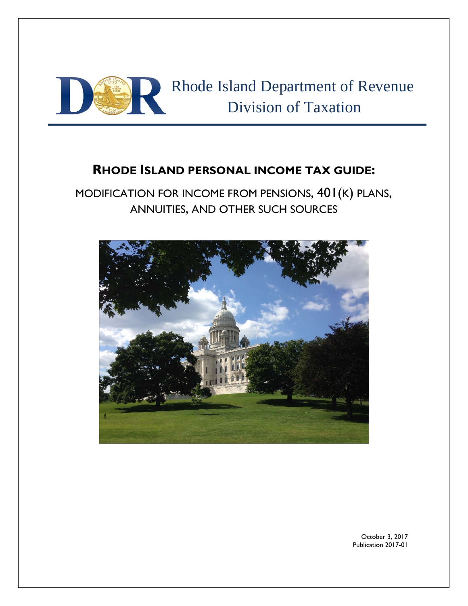

## **RHODE ISLAND PERSONAL INCOME TAX GUIDE:**

MODIFICATION FOR INCOME FROM PENSIONS, 401(K) PLANS, ANNUITIES, AND OTHER SUCH SOURCES



October 3, 2017 Publication 2017-01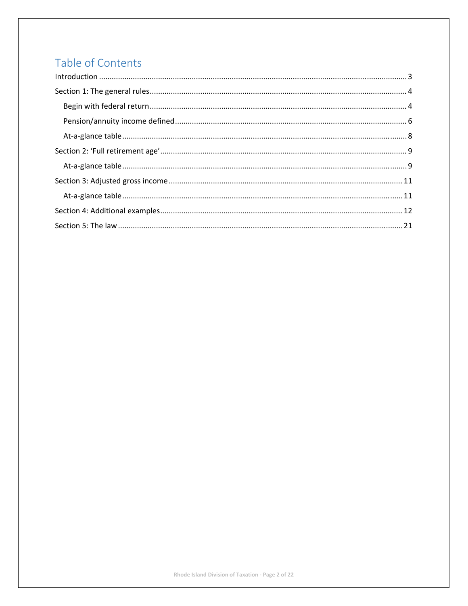# Table of Contents

| $\label{lem:1} \mbox{Introduction} \,\, \ldots \,\, \ldots \,\, \ldots \,\, \ldots \,\, \ldots \,\, \ldots \,\, \ldots \,\, \ldots \,\, \ldots \,\, \ldots \,\, \ldots \,\, \ldots \,\, \ldots \,\, \ldots \,\, \ldots \,\, \ldots \,\, \ldots \,\, \ldots \,\, \ldots \,\, \ldots \,\, \ldots \,\, \ldots \,\, \ldots \,\, \ldots \,\, \ldots \,\, \ldots \,\, \ldots \,\, \ldots \,\, \ldots \,\, \ldots \,\, \ldots \,\, \ldots \,\, \ldots \,\, \ldots \,\,$ |  |
|------------------------------------------------------------------------------------------------------------------------------------------------------------------------------------------------------------------------------------------------------------------------------------------------------------------------------------------------------------------------------------------------------------------------------------------------------------------|--|
|                                                                                                                                                                                                                                                                                                                                                                                                                                                                  |  |
|                                                                                                                                                                                                                                                                                                                                                                                                                                                                  |  |
|                                                                                                                                                                                                                                                                                                                                                                                                                                                                  |  |
|                                                                                                                                                                                                                                                                                                                                                                                                                                                                  |  |
|                                                                                                                                                                                                                                                                                                                                                                                                                                                                  |  |
|                                                                                                                                                                                                                                                                                                                                                                                                                                                                  |  |
|                                                                                                                                                                                                                                                                                                                                                                                                                                                                  |  |
|                                                                                                                                                                                                                                                                                                                                                                                                                                                                  |  |
|                                                                                                                                                                                                                                                                                                                                                                                                                                                                  |  |
|                                                                                                                                                                                                                                                                                                                                                                                                                                                                  |  |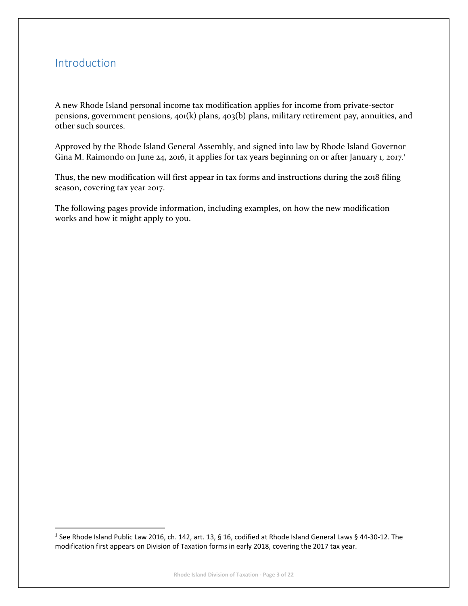## Introduction

A new Rhode Island personal income tax modification applies for income from private‐sector pensions, government pensions, 401(k) plans, 403(b) plans, military retirement pay, annuities, and other such sources.

Approved by the Rhode Island General Assembly, and signed into law by Rhode Island Governor Gina M. Raimondo on June 24, 2016, it applies for tax years beginning on or after January 1, 2017.<sup>1</sup>

Thus, the new modification will first appear in tax forms and instructions during the 2018 filing season, covering tax year 2017.

The following pages provide information, including examples, on how the new modification works and how it might apply to you.

<sup>1</sup> See Rhode Island Public Law 2016, ch. 142, art. 13, § 16, codified at Rhode Island General Laws § 44‐30‐12. The modification first appears on Division of Taxation forms in early 2018, covering the 2017 tax year.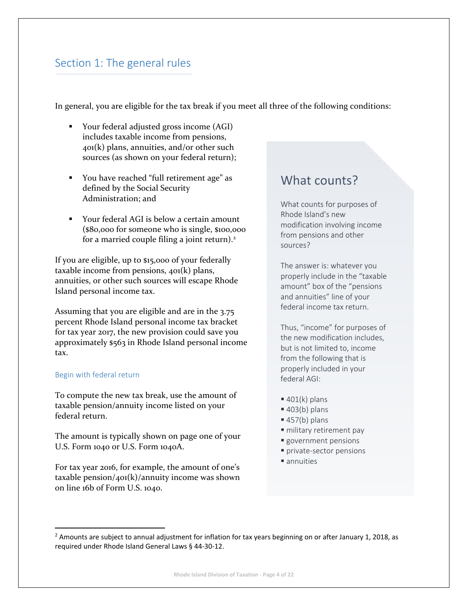## Section 1: The general rules

In general, you are eligible for the tax break if you meet all three of the following conditions:

- Your federal adjusted gross income (AGI) includes taxable income from pensions, 401(k) plans, annuities, and/or other such sources (as shown on your federal return);
- You have reached "full retirement age" as defined by the Social Security Administration; and
- Your federal AGI is below a certain amount (\$80,000 for someone who is single, \$100,000 for a married couple filing a joint return).<sup>2</sup>

If you are eligible, up to \$15,000 of your federally taxable income from pensions, 401(k) plans, annuities, or other such sources will escape Rhode Island personal income tax.

Assuming that you are eligible and are in the 3.75 percent Rhode Island personal income tax bracket for tax year 2017, the new provision could save you approximately \$563 in Rhode Island personal income tax.

### Begin with federal return

To compute the new tax break, use the amount of taxable pension/annuity income listed on your federal return.

The amount is typically shown on page one of your U.S. Form 1040 or U.S. Form 1040A.

For tax year 2016, for example, the amount of one's taxable pension/401(k)/annuity income was shown on line 16b of Form U.S. 1040.

## What counts?

What counts for purposes of Rhode Island's new modification involving income from pensions and other sources?

The answer is: whatever you properly include in the "taxable amount" box of the "pensions and annuities" line of your federal income tax return.

Thus, "income" for purposes of the new modification includes, but is not limited to, income from the following that is properly included in your federal AGI:

- $= 401(k)$  plans
- $= 403(b)$  plans
- $= 457(b)$  plans
- military retirement pay
- **government pensions**
- private-sector pensions
- **annuities**

 $2$  Amounts are subject to annual adjustment for inflation for tax years beginning on or after January 1, 2018, as required under Rhode Island General Laws § 44‐30‐12.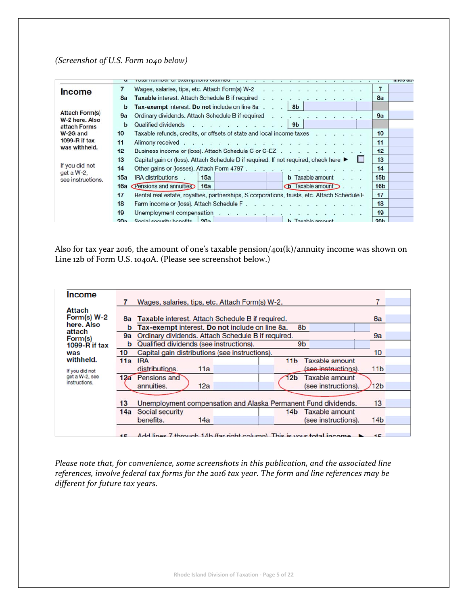## *(Screenshot of U.S. Form 1040 below)*

|                                 | $m$ es av                                                                                                            |  |
|---------------------------------|----------------------------------------------------------------------------------------------------------------------|--|
| <b>Income</b>                   | 7<br>Wages, salaries, tips, etc. Attach Form(s) $W-2$                                                                |  |
|                                 | Taxable interest. Attach Schedule B if required<br>8a<br>8a                                                          |  |
|                                 | Tax-exempt interest. Do not include on line 8a 8b<br>b                                                               |  |
| <b>Attach Form(s)</b>           | Ordinary dividends. Attach Schedule B if required<br>9a<br>9a                                                        |  |
| W-2 here, Also<br>attach Forms  | Qualified dividends 9b<br>b                                                                                          |  |
| W-2G and                        | Taxable refunds, credits, or offsets of state and local income taxes<br>10<br>10 <sup>1</sup>                        |  |
| 1099-R if $tax$                 | 11<br>11                                                                                                             |  |
| was withheld.                   | 12<br>12<br>Business income or (loss). Attach Schedule C or C-EZ                                                     |  |
|                                 | Capital gain or (loss). Attach Schedule D if required. If not required, check here $\blacktriangleright$<br>13<br>13 |  |
| If you did not                  | Other gains or (losses). Attach Form 4797.<br>14<br>14                                                               |  |
| get a W-2.<br>see instructions. | 15 <sub>b</sub><br>IRA distributions.<br>15a<br>15a<br><b>b</b> Taxable amount                                       |  |
|                                 | 16 <sub>b</sub><br>16a Pensions and annuities 16a<br>$\bullet$ Taxable amount                                        |  |
|                                 | 17<br>17<br>Rental real estate, royalties, partnerships, S corporations, trusts, etc. Attach Schedule E              |  |
|                                 | 18<br>Farm income or (loss). Attach Schedule F.<br>18                                                                |  |
|                                 | 19<br>19<br>Unemployment compensation                                                                                |  |
|                                 | the contract of the contract of the con-<br>20h<br>Social security henefits 20a<br>h Tayahle amount<br>20a           |  |

Also for tax year 2016, the amount of one's taxable pension/401(k)/annuity income was shown on Line 12b of Form U.S. 1040A. (Please see screenshot below.)

| <b>Income</b>        | 7               | Wages, salaries, tips, etc. Attach Form(s) W-2.                         |                 |                                   | 7               |  |
|----------------------|-----------------|-------------------------------------------------------------------------|-----------------|-----------------------------------|-----------------|--|
| Attach               |                 |                                                                         |                 |                                   |                 |  |
| Form(s) W-2          |                 | 8a Taxable interest. Attach Schedule B if required.                     |                 |                                   | 8a              |  |
| here, Also<br>attach | b               | Tax-exempt interest. Do not include on line 8a.                         | 8b              |                                   |                 |  |
| Form(s)              | 9а              | Ordinary dividends. Attach Schedule B if required.                      |                 |                                   | 9a              |  |
| 1099- $R$ if tax     | b               | Qualified dividends (see instructions).                                 |                 | 9b                                |                 |  |
| was                  | 10              | Capital gain distributions (see instructions).                          |                 |                                   | 10 <sup>°</sup> |  |
| withheld.            | 11a             | <b>IRA</b>                                                              | 11b             | Taxable amount                    |                 |  |
| If you did not       |                 | distributions.<br>11a                                                   |                 | <i><b>(see instructions).</b></i> | 11 <sub>b</sub> |  |
| get a W-2, see       | 12 <sub>6</sub> | Pensions and                                                            | 12 <sub>b</sub> | Taxable amount                    |                 |  |
| instructions.        |                 | annuities.<br>12a                                                       |                 | (see instructions).               | 12 <sub>b</sub> |  |
|                      |                 |                                                                         |                 |                                   |                 |  |
|                      | 13              | Unemployment compensation and Alaska Permanent Fund dividends.          |                 |                                   | 13              |  |
|                      | 14a             | Social security                                                         | 14 <sub>b</sub> | Taxable amount                    |                 |  |
|                      |                 | benefits.<br>14a                                                        |                 | (see instructions).               | 14 <sub>b</sub> |  |
|                      | $\overline{1}$  | Add lines 7 thus ush 1.4h Key debt column). This is usua total in cours |                 |                                   | $\rightarrow$   |  |

*Please note that, for convenience, some screenshots in this publication, and the associated line references, involve federal tax forms for the 2016 tax year. The form and line references may be different for future tax years.*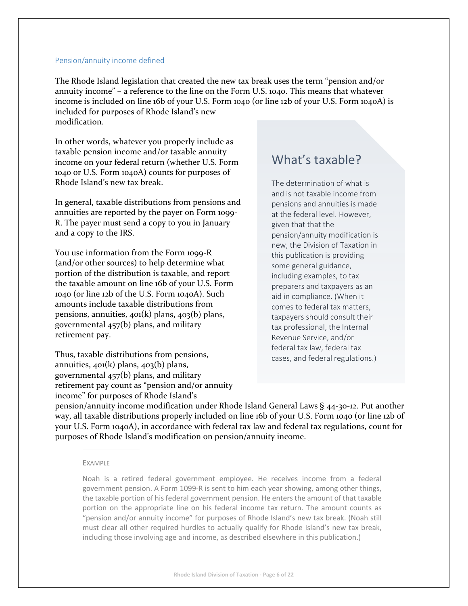#### Pension/annuity income defined

The Rhode Island legislation that created the new tax break uses the term "pension and/or annuity income" – a reference to the line on the Form U.S. 1040. This means that whatever income is included on line 16b of your U.S. Form 1040 (or line 12b of your U.S. Form 1040A) is included for purposes of Rhode Island's new modification.

In other words, whatever you properly include as taxable pension income and/or taxable annuity income on your federal return (whether U.S. Form 1040 or U.S. Form 1040A) counts for purposes of Rhode Island's new tax break.

In general, taxable distributions from pensions and annuities are reported by the payer on Form 1099‐ R. The payer must send a copy to you in January and a copy to the IRS.

You use information from the Form 1099‐R (and/or other sources) to help determine what portion of the distribution is taxable, and report the taxable amount on line 16b of your U.S. Form 1040 (or line 12b of the U.S. Form 1040A). Such amounts include taxable distributions from pensions, annuities, 401(k) plans, 403(b) plans, governmental 457(b) plans, and military retirement pay.

Thus, taxable distributions from pensions, annuities,  $401(k)$  plans,  $403(k)$  plans, governmental 457(b) plans, and military retirement pay count as "pension and/or annuity income" for purposes of Rhode Island's

## What's taxable?

The determination of what is and is not taxable income from pensions and annuities is made at the federal level. However, given that that the pension/annuity modification is new, the Division of Taxation in this publication is providing some general guidance, including examples, to tax preparers and taxpayers as an aid in compliance. (When it comes to federal tax matters, taxpayers should consult their tax professional, the Internal Revenue Service, and/or federal tax law, federal tax cases, and federal regulations.)

pension/annuity income modification under Rhode Island General Laws § 44‐30‐12. Put another way, all taxable distributions properly included on line 16b of your U.S. Form 1040 (or line 12b of your U.S. Form 1040A), in accordance with federal tax law and federal tax regulations, count for purposes of Rhode Island's modification on pension/annuity income.

#### **EXAMPLE**

Noah is a retired federal government employee. He receives income from a federal government pension. A Form 1099‐R is sent to him each year showing, among other things, the taxable portion of his federal government pension. He enters the amount of that taxable portion on the appropriate line on his federal income tax return. The amount counts as "pension and/or annuity income" for purposes of Rhode Island's new tax break. (Noah still must clear all other required hurdles to actually qualify for Rhode Island's new tax break, including those involving age and income, as described elsewhere in this publication.)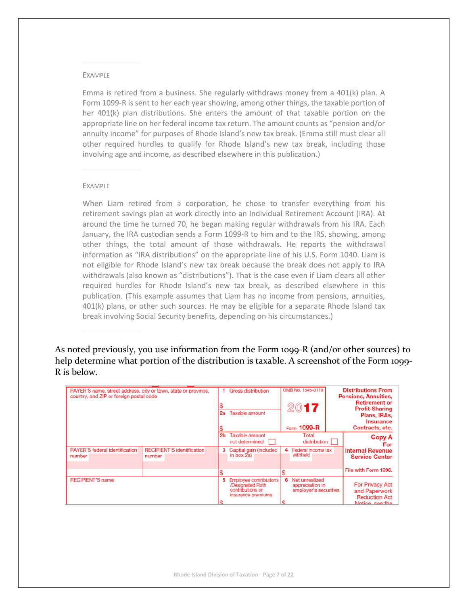#### EXAMPLE

Emma is retired from a business. She regularly withdraws money from a 401(k) plan. A Form 1099‐R is sent to her each year showing, among other things, the taxable portion of her 401(k) plan distributions. She enters the amount of that taxable portion on the appropriate line on her federal income tax return. The amount counts as "pension and/or annuity income" for purposes of Rhode Island's new tax break. (Emma still must clear all other required hurdles to qualify for Rhode Island's new tax break, including those involving age and income, as described elsewhere in this publication.)

#### EXAMPLE

When Liam retired from a corporation, he chose to transfer everything from his retirement savings plan at work directly into an Individual Retirement Account (IRA). At around the time he turned 70, he began making regular withdrawals from his IRA. Each January, the IRA custodian sends a Form 1099‐R to him and to the IRS, showing, among other things, the total amount of those withdrawals. He reports the withdrawal information as "IRA distributions" on the appropriate line of his U.S. Form 1040. Liam is not eligible for Rhode Island's new tax break because the break does not apply to IRA withdrawals (also known as "distributions"). That is the case even if Liam clears all other required hurdles for Rhode Island's new tax break, as described elsewhere in this publication. (This example assumes that Liam has no income from pensions, annuities, 401(k) plans, or other such sources. He may be eligible for a separate Rhode Island tax break involving Social Security benefits, depending on his circumstances.)

As noted previously, you use information from the Form 1099‐R (and/or other sources) to help determine what portion of the distribution is taxable. A screenshot of the Form 1099-R is below.

| PAYER'S name, street address, city or town, state or province,<br>country, and ZIP or foreign postal code |                                             | 2a             | <b>Gross distribution</b><br>Taxable amount                                                 |    | OMB No. 1545-0119<br>2017<br>Form 1099-R                   | <b>Distributions From</b><br><b>Pensions, Annuities.</b><br><b>Retirement or</b><br><b>Profit-Sharing</b><br>Plans, IRAs,<br><b>Insurance</b><br>Contracts, etc. |
|-----------------------------------------------------------------------------------------------------------|---------------------------------------------|----------------|---------------------------------------------------------------------------------------------|----|------------------------------------------------------------|------------------------------------------------------------------------------------------------------------------------------------------------------------------|
|                                                                                                           |                                             | 2 <sub>b</sub> | Taxable amount<br>not determined                                                            |    | Total<br>distribution                                      | Copy A<br>For                                                                                                                                                    |
| <b>PAYER'S federal identification</b><br>number                                                           | <b>RECIPIENT'S identification</b><br>number | 3              | Capital gain (included<br>in box $2a$ )                                                     |    | Federal income tax<br>withheld                             | <b>Internal Revenue</b><br><b>Service Center</b>                                                                                                                 |
|                                                                                                           |                                             |                |                                                                                             |    |                                                            | File with Form 1096.                                                                                                                                             |
| <b>RECIPIENT'S name</b>                                                                                   |                                             | 5.             | <b>Employee contributions</b><br>/Designated Roth<br>contributions or<br>insurance premiums | 6. | Net unrealized<br>appreciation in<br>employer's securities | <b>For Privacy Act</b><br>and Paperwork<br><b>Reduction Act</b><br>Notice see the                                                                                |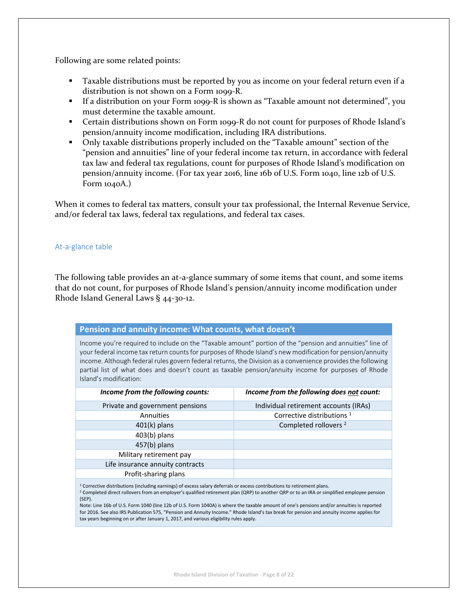Following are some related points:

- Taxable distributions must be reported by you as income on your federal return even if a distribution is not shown on a Form 1099‐R.
- If a distribution on your Form 1099-R is shown as "Taxable amount not determined", you must determine the taxable amount.
- Certain distributions shown on Form 1099‐R do not count for purposes of Rhode Island's pension/annuity income modification, including IRA distributions.
- Only taxable distributions properly included on the "Taxable amount" section of the "pension and annuities" line of your federal income tax return, in accordance with federal tax law and federal tax regulations, count for purposes of Rhode Island's modification on pension/annuity income. (For tax year 2016, line 16b of U.S. Form 1040, line 12b of U.S. Form 1040A.)

When it comes to federal tax matters, consult your tax professional, the Internal Revenue Service, and/or federal tax laws, federal tax regulations, and federal tax cases.

### At‐a‐glance table

The following table provides an at-a-glance summary of some items that count, and some items that do not count, for purposes of Rhode Island's pension/annuity income modification under Rhode Island General Laws § 44‐30‐12.

### **Pension and annuity income: What counts, what doesn't**

Income you're required to include on the "Taxable amount" portion of the "pension and annuities" line of your federal income tax return counts for purposes of Rhode Island's new modification for pension/annuity income. Although federal rules govern federal returns, the Division as a convenience provides the following partial list of what does and doesn't count as taxable pension/annuity income for purposes of Rhode Island's modification:

| Income from the following counts: | Income from the following does not count: |
|-----------------------------------|-------------------------------------------|
| Private and government pensions   | Individual retirement accounts (IRAs)     |
| Annuities                         | Corrective distributions <sup>1</sup>     |
| $401(k)$ plans                    | Completed rollovers <sup>2</sup>          |
| $403(b)$ plans                    |                                           |
| 457(b) plans                      |                                           |
| Military retirement pay           |                                           |
| Life insurance annuity contracts  |                                           |
| Profit-sharing plans              |                                           |
|                                   |                                           |

<sup>1</sup> Corrective distributions (including earnings) of excess salary deferrals or excess contributions to retirement plans. <sup>2</sup> Completed direct rollovers from an employer's qualified retirement plan (QRP) to another QRP or to an IRA or simplified employee pension (SEP).

Note: Line 16b of U.S. Form 1040 (line 12b of U.S. Form 1040A) is where the taxable amount of one's pensions and/or annuities is reported for 2016. See also IRS Publication 575, "Pension and Annuity Income." Rhode Island's tax break for pension and annuity income applies for tax years beginning on or after January 1, 2017, and various eligibility rules apply.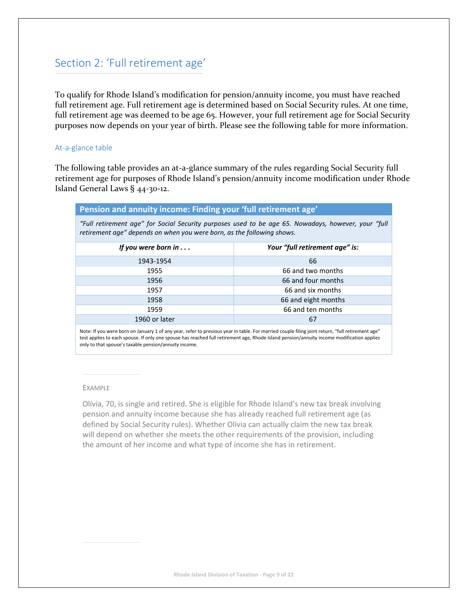## Section 2: 'Full retirement age'

To qualify for Rhode Island's modification for pension/annuity income, you must have reached full retirement age. Full retirement age is determined based on Social Security rules. At one time, full retirement age was deemed to be age 65. However, your full retirement age for Social Security purposes now depends on your year of birth. Please see the following table for more information.

### At‐a‐glance table

The following table provides an at-a-glance summary of the rules regarding Social Security full retirement age for purposes of Rhode Island's pension/annuity income modification under Rhode Island General Laws § 44‐30‐12.

|  | Pension and annuity income: Finding your 'full retirement age' |  |
|--|----------------------------------------------------------------|--|
|--|----------------------------------------------------------------|--|

*"Full retirement age" for Social Security purposes used to be age 65. Nowadays, however, your "full retirement age" depends on when you were born, as the following shows.*

| Your "full retirement age" is: |
|--------------------------------|
| 66                             |
| 66 and two months              |
| 66 and four months             |
| 66 and six months              |
| 66 and eight months            |
| 66 and ten months              |
| 67                             |
|                                |

Note: If you were born on January 1 of any year, refer to previous year in table. For married couple filing joint return, "full retirement age" test applies to each spouse. If only one spouse has reached full retirement age, Rhode Island pension/annuity income modification applies only to that spouse's taxable pension/annuity income.

#### EXAMPLE

Olivia, 70, is single and retired. She is eligible for Rhode Island's new tax break involving pension and annuity income because she has already reached full retirement age (as defined by Social Security rules). Whether Olivia can actually claim the new tax break will depend on whether she meets the other requirements of the provision, including the amount of her income and what type of income she has in retirement.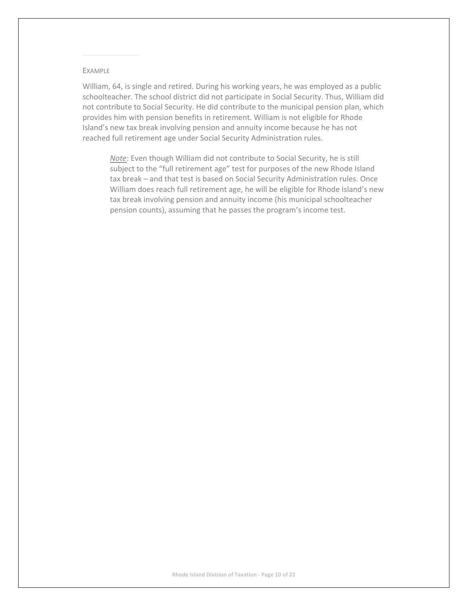### EXAMPLE

William, 64, is single and retired. During his working years, he was employed as a public schoolteacher. The school district did not participate in Social Security. Thus, William did not contribute to Social Security. He did contribute to the municipal pension plan, which provides him with pension benefits in retirement. William is not eligible for Rhode Island's new tax break involving pension and annuity income because he has not reached full retirement age under Social Security Administration rules.

*Note*: Even though William did not contribute to Social Security, he is still subject to the "full retirement age" test for purposes of the new Rhode Island tax break – and that test is based on Social Security Administration rules. Once William does reach full retirement age, he will be eligible for Rhode Island's new tax break involving pension and annuity income (his municipal schoolteacher pension counts), assuming that he passes the program's income test.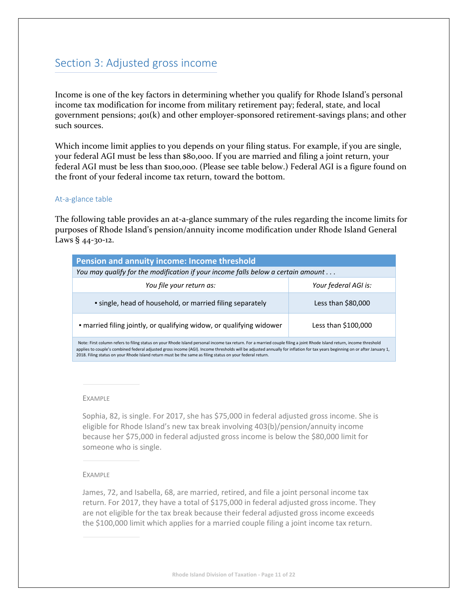## Section 3: Adjusted gross income

Income is one of the key factors in determining whether you qualify for Rhode Island's personal income tax modification for income from military retirement pay; federal, state, and local government pensions;  $40(k)$  and other employer-sponsored retirement-savings plans; and other such sources.

Which income limit applies to you depends on your filing status. For example, if you are single, your federal AGI must be less than \$80,000. If you are married and filing a joint return, your federal AGI must be less than \$100,000. (Please see table below.) Federal AGI is a figure found on the front of your federal income tax return, toward the bottom.

### At‐a‐glance table

The following table provides an at-a-glance summary of the rules regarding the income limits for purposes of Rhode Island's pension/annuity income modification under Rhode Island General Laws § 44‐30‐12.

| Pension and annuity income: Income threshold                                                                                                                                                                                                                                                                                                                                                                                                                     |                      |  |  |
|------------------------------------------------------------------------------------------------------------------------------------------------------------------------------------------------------------------------------------------------------------------------------------------------------------------------------------------------------------------------------------------------------------------------------------------------------------------|----------------------|--|--|
| You may qualify for the modification if your income falls below a certain amount                                                                                                                                                                                                                                                                                                                                                                                 |                      |  |  |
| You file your return as:                                                                                                                                                                                                                                                                                                                                                                                                                                         | Your federal AGI is: |  |  |
| • single, head of household, or married filing separately                                                                                                                                                                                                                                                                                                                                                                                                        | Less than \$80,000   |  |  |
| • married filing jointly, or qualifying widow, or qualifying widower                                                                                                                                                                                                                                                                                                                                                                                             | Less than \$100,000  |  |  |
| Note: First column refers to filing status on your Rhode Island personal income tax return. For a married couple filing a joint Rhode Island return, income threshold<br>applies to couple's combined federal adjusted gross income (AGI). Income thresholds will be adjusted annually for inflation for tax years beginning on or after January 1,<br>2018. Filing status on your Rhode Island return must be the same as filing status on your federal return. |                      |  |  |

#### EXAMPLE

Sophia, 82, is single. For 2017, she has \$75,000 in federal adjusted gross income. She is eligible for Rhode Island's new tax break involving 403(b)/pension/annuity income because her \$75,000 in federal adjusted gross income is below the \$80,000 limit for someone who is single.

#### EXAMPLE

James, 72, and Isabella, 68, are married, retired, and file a joint personal income tax return. For 2017, they have a total of \$175,000 in federal adjusted gross income. They are not eligible for the tax break because their federal adjusted gross income exceeds the \$100,000 limit which applies for a married couple filing a joint income tax return.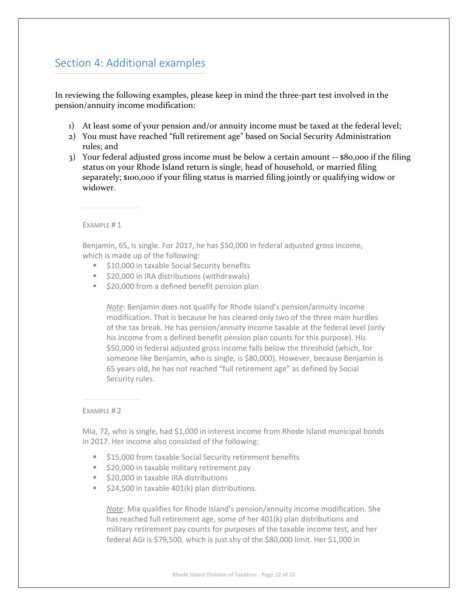## Section 4: Additional examples

In reviewing the following examples, please keep in mind the three‐part test involved in the pension/annuity income modification:

- 1) At least some of your pension and/or annuity income must be taxed at the federal level;
- 2) You must have reached "full retirement age" based on Social Security Administration rules; and
- 3) Your federal adjusted gross income must be below a certain amount ‐‐ \$80,000 if the filing status on your Rhode Island return is single, head of household, or married filing separately; \$100,000 if your filing status is married filing jointly or qualifying widow or widower.

EXAMPLE #1

Benjamin, 65, is single. For 2017, he has \$50,000 in federal adjusted gross income, which is made up of the following:

- **510,000 in taxable Social Security benefits**
- $\overline{\phantom{a}}$  \$20,000 in IRA distributions (withdrawals)
- $\approx$  \$20,000 from a defined benefit pension plan

*Note*: Benjamin does not qualify for Rhode Island's pension/annuity income modification. That is because he has cleared only two of the three main hurdles of the tax break. He has pension/annuity income taxable at the federal level (only his income from a defined benefit pension plan counts for this purpose). His \$50,000 in federal adjusted gross income falls below the threshold (which, for someone like Benjamin, who is single, is \$80,000). However, because Benjamin is 65 years old, he has not reached "full retirement age" as defined by Social Security rules.

#### EXAMPLE # 2

Mia, 72, who is single, had \$1,000 in interest income from Rhode Island municipal bonds in 2017. Her income also consisted of the following:

- \$15,000 from taxable Social Security retirement benefits
- \$20,000 in taxable military retirement pay
- \$20,000 in taxable IRA distributions
- $\approx$  \$24,500 in taxable 401(k) plan distributions.

*Note*: Mia qualifies for Rhode Island's pension/annuity income modification. She has reached full retirement age, some of her 401(k) plan distributions and military retirement pay counts for purposes of the taxable income test, and her federal AGI is \$79,500, which is just shy of the \$80,000 limit. Her \$1,000 in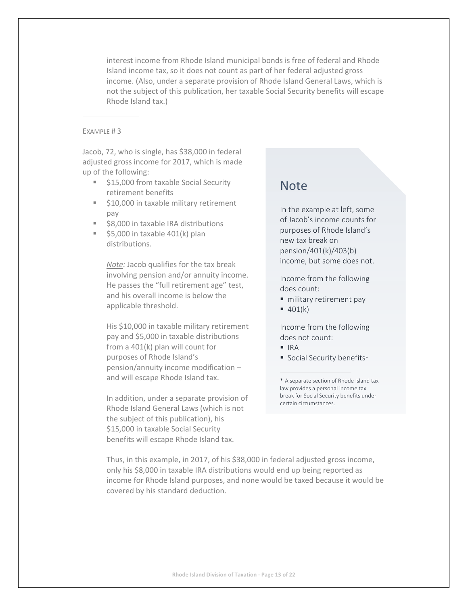interest income from Rhode Island municipal bonds is free of federal and Rhode Island income tax, so it does not count as part of her federal adjusted gross income. (Also, under a separate provision of Rhode Island General Laws, which is not the subject of this publication, her taxable Social Security benefits will escape Rhode Island tax.)

#### EXAMPLE #3

Jacob, 72, who is single, has \$38,000 in federal adjusted gross income for 2017, which is made up of the following:

- \$15,000 from taxable Social Security retirement benefits
- **510,000 in taxable military retirement** pay
- **58,000 in taxable IRA distributions**
- $\overline{\phantom{a}}$  \$5,000 in taxable 401(k) plan distributions.

*Note:* Jacob qualifies for the tax break involving pension and/or annuity income. He passes the "full retirement age" test, and his overall income is below the applicable threshold.

His \$10,000 in taxable military retirement pay and \$5,000 in taxable distributions from a 401(k) plan will count for purposes of Rhode Island's pension/annuity income modification – and will escape Rhode Island tax.

In addition, under a separate provision of Rhode Island General Laws (which is not the subject of this publication), his \$15,000 in taxable Social Security benefits will escape Rhode Island tax.

## Note

In the example at left, some of Jacob's income counts for purposes of Rhode Island's new tax break on pension/401(k)/403(b) income, but some does not.

Income from the following does count:

- military retirement pay
- $-401(k)$

Income from the following does not count:

- $IRA$
- **Social Security benefits\***

\* A separate section of Rhode Island tax law provides a personal income tax break for Social Security benefits under certain circumstances.

Thus, in this example, in 2017, of his \$38,000 in federal adjusted gross income, only his \$8,000 in taxable IRA distributions would end up being reported as income for Rhode Island purposes, and none would be taxed because it would be covered by his standard deduction.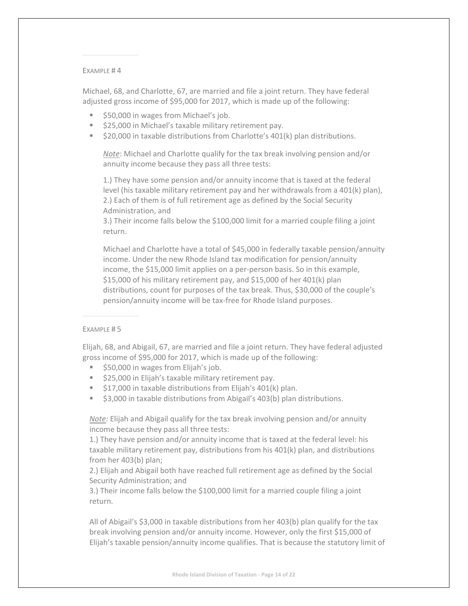### EXAMPLE # 4

Michael, 68, and Charlotte, 67, are married and file a joint return. They have federal adjusted gross income of \$95,000 for 2017, which is made up of the following:

- \$50,000 in wages from Michael's job.
- $\approx$  \$25,000 in Michael's taxable military retirement pay.
- \$20,000 in taxable distributions from Charlotte's 401(k) plan distributions.

*Note*: Michael and Charlotte qualify for the tax break involving pension and/or annuity income because they pass all three tests:

1.) They have some pension and/or annuity income that is taxed at the federal level (his taxable military retirement pay and her withdrawals from a 401(k) plan), 2.) Each of them is of full retirement age as defined by the Social Security Administration, and

3.) Their income falls below the \$100,000 limit for a married couple filing a joint return.

Michael and Charlotte have a total of \$45,000 in federally taxable pension/annuity income. Under the new Rhode Island tax modification for pension/annuity income, the \$15,000 limit applies on a per‐person basis. So in this example, \$15,000 of his military retirement pay, and \$15,000 of her 401(k) plan distributions, count for purposes of the tax break. Thus, \$30,000 of the couple's pension/annuity income will be tax‐free for Rhode Island purposes.

### EXAMPLE # 5

Elijah, 68, and Abigail, 67, are married and file a joint return. They have federal adjusted gross income of \$95,000 for 2017, which is made up of the following:

- **550,000 in wages from Elijah's job.**
- **525,000 in Elijah's taxable military retirement pay.**
- $\approx$  \$17,000 in taxable distributions from Elijah's 401(k) plan.
- \$3,000 in taxable distributions from Abigail's 403(b) plan distributions.

*Note:* Elijah and Abigail qualify for the tax break involving pension and/or annuity income because they pass all three tests:

1.) They have pension and/or annuity income that is taxed at the federal level: his taxable military retirement pay, distributions from his 401(k) plan, and distributions from her 403(b) plan;

2.) Elijah and Abigail both have reached full retirement age as defined by the Social Security Administration; and

3.) Their income falls below the \$100,000 limit for a married couple filing a joint return.

All of Abigail's \$3,000 in taxable distributions from her 403(b) plan qualify for the tax break involving pension and/or annuity income. However, only the first \$15,000 of Elijah's taxable pension/annuity income qualifies. That is because the statutory limit of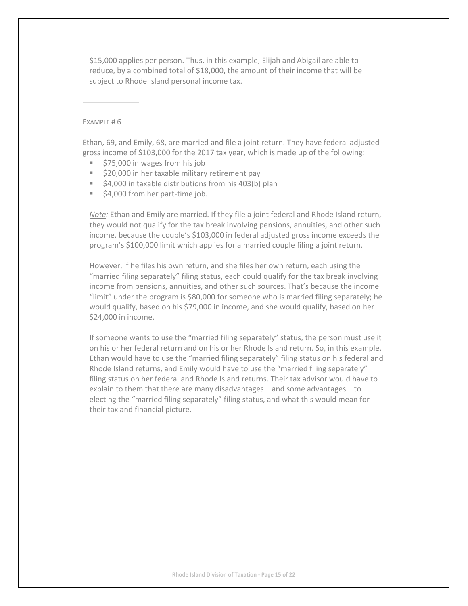\$15,000 applies per person. Thus, in this example, Elijah and Abigail are able to reduce, by a combined total of \$18,000, the amount of their income that will be subject to Rhode Island personal income tax.

### EXAMPLE # 6

Ethan, 69, and Emily, 68, are married and file a joint return. They have federal adjusted gross income of \$103,000 for the 2017 tax year, which is made up of the following:

- \$75,000 in wages from his job
- $\approx$  \$20,000 in her taxable military retirement pay
- \$4,000 in taxable distributions from his 403(b) plan
- \$4,000 from her part-time job.

*Note:* Ethan and Emily are married. If they file a joint federal and Rhode Island return, they would not qualify for the tax break involving pensions, annuities, and other such income, because the couple's \$103,000 in federal adjusted gross income exceeds the program's \$100,000 limit which applies for a married couple filing a joint return.

However, if he files his own return, and she files her own return, each using the "married filing separately" filing status, each could qualify for the tax break involving income from pensions, annuities, and other such sources. That's because the income "limit" under the program is \$80,000 for someone who is married filing separately; he would qualify, based on his \$79,000 in income, and she would qualify, based on her \$24,000 in income.

If someone wants to use the "married filing separately" status, the person must use it on his or her federal return and on his or her Rhode Island return. So, in this example, Ethan would have to use the "married filing separately" filing status on his federal and Rhode Island returns, and Emily would have to use the "married filing separately" filing status on her federal and Rhode Island returns. Their tax advisor would have to explain to them that there are many disadvantages – and some advantages – to electing the "married filing separately" filing status, and what this would mean for their tax and financial picture.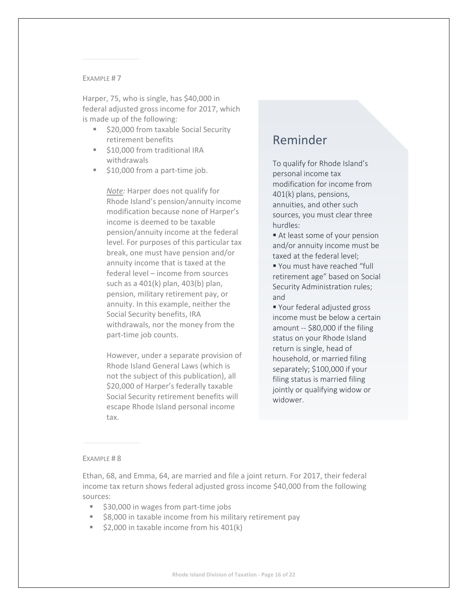### EXAMPLE #7

Harper, 75, who is single, has \$40,000 in federal adjusted gross income for 2017, which is made up of the following:

- \$20,000 from taxable Social Security retirement benefits
- **510,000 from traditional IRA** withdrawals
- \$10,000 from a part-time job.

*Note:* Harper does not qualify for Rhode Island's pension/annuity income modification because none of Harper's income is deemed to be taxable pension/annuity income at the federal level. For purposes of this particular tax break, one must have pension and/or annuity income that is taxed at the federal level – income from sources such as a 401(k) plan, 403(b) plan, pension, military retirement pay, or annuity. In this example, neither the Social Security benefits, IRA withdrawals, nor the money from the part‐time job counts.

However, under a separate provision of Rhode Island General Laws (which is not the subject of this publication), all \$20,000 of Harper's federally taxable Social Security retirement benefits will escape Rhode Island personal income tax.

## Reminder

To qualify for Rhode Island's personal income tax modification for income from 401(k) plans, pensions, annuities, and other such sources, you must clear three hurdles:

 At least some of your pension and/or annuity income must be taxed at the federal level;

 You must have reached "full retirement age" based on Social Security Administration rules; and

 Your federal adjusted gross income must be below a certain amount ‐‐ \$80,000 if the filing status on your Rhode Island return is single, head of household, or married filing separately; \$100,000 if your filing status is married filing jointly or qualifying widow or widower.

#### EXAMPLE #8

Ethan, 68, and Emma, 64, are married and file a joint return. For 2017, their federal income tax return shows federal adjusted gross income \$40,000 from the following sources:

- \$30,000 in wages from part-time jobs
- \$8,000 in taxable income from his military retirement pay
- $\approx$  \$2,000 in taxable income from his 401(k)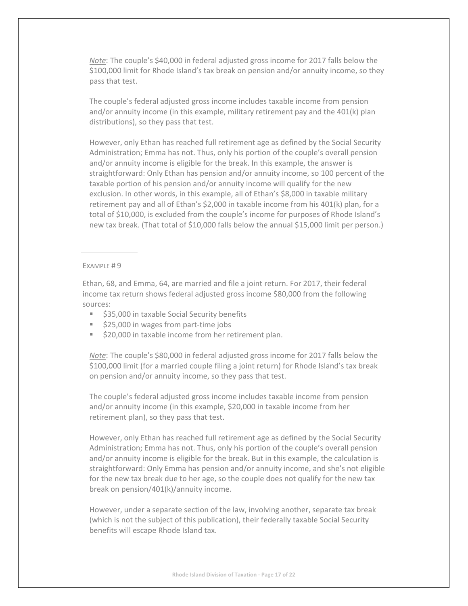*Note*: The couple's \$40,000 in federal adjusted gross income for 2017 falls below the \$100,000 limit for Rhode Island's tax break on pension and/or annuity income, so they pass that test.

The couple's federal adjusted gross income includes taxable income from pension and/or annuity income (in this example, military retirement pay and the 401(k) plan distributions), so they pass that test.

However, only Ethan has reached full retirement age as defined by the Social Security Administration; Emma has not. Thus, only his portion of the couple's overall pension and/or annuity income is eligible for the break. In this example, the answer is straightforward: Only Ethan has pension and/or annuity income, so 100 percent of the taxable portion of his pension and/or annuity income will qualify for the new exclusion. In other words, in this example, all of Ethan's \$8,000 in taxable military retirement pay and all of Ethan's  $$2,000$  in taxable income from his  $401(k)$  plan, for a total of \$10,000, is excluded from the couple's income for purposes of Rhode Island's new tax break. (That total of \$10,000 falls below the annual \$15,000 limit per person.)

### EXAMPLE # 9

Ethan, 68, and Emma, 64, are married and file a joint return. For 2017, their federal income tax return shows federal adjusted gross income \$80,000 from the following sources:

- **535,000 in taxable Social Security benefits**
- \$25,000 in wages from part-time jobs
- \$20,000 in taxable income from her retirement plan.

*Note*: The couple's \$80,000 in federal adjusted gross income for 2017 falls below the \$100,000 limit (for a married couple filing a joint return) for Rhode Island's tax break on pension and/or annuity income, so they pass that test.

The couple's federal adjusted gross income includes taxable income from pension and/or annuity income (in this example, \$20,000 in taxable income from her retirement plan), so they pass that test.

However, only Ethan has reached full retirement age as defined by the Social Security Administration; Emma has not. Thus, only his portion of the couple's overall pension and/or annuity income is eligible for the break. But in this example, the calculation is straightforward: Only Emma has pension and/or annuity income, and she's not eligible for the new tax break due to her age, so the couple does not qualify for the new tax break on pension/401(k)/annuity income.

However, under a separate section of the law, involving another, separate tax break (which is not the subject of this publication), their federally taxable Social Security benefits will escape Rhode Island tax.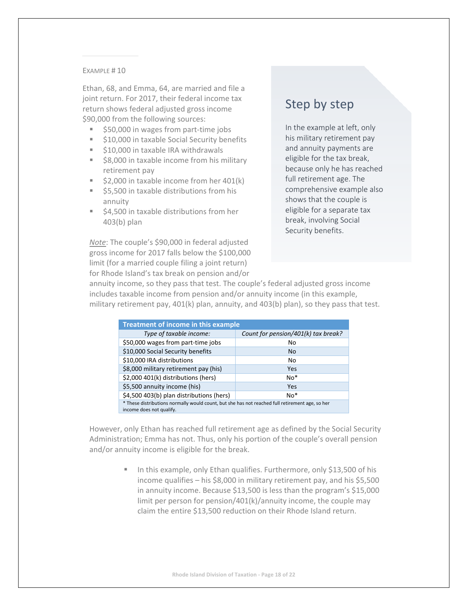### EXAMPLE #10

Ethan, 68, and Emma, 64, are married and file a joint return. For 2017, their federal income tax return shows federal adjusted gross income \$90,000 from the following sources:

- \$50,000 in wages from part-time jobs
- \$10,000 in taxable Social Security benefits
- \$10,000 in taxable IRA withdrawals
- **58,000 in taxable income from his military** retirement pay
- $\approx$  \$2,000 in taxable income from her 401(k)
- $\overline{\phantom{a}}$  \$5,500 in taxable distributions from his annuity
- \$4,500 in taxable distributions from her 403(b) plan

*Note*: The couple's \$90,000 in federal adjusted gross income for 2017 falls below the \$100,000 limit (for a married couple filing a joint return) for Rhode Island's tax break on pension and/or

# Step by step

In the example at left, only his military retirement pay and annuity payments are eligible for the tax break, because only he has reached full retirement age. The comprehensive example also shows that the couple is eligible for a separate tax break, involving Social Security benefits.

annuity income, so they pass that test. The couple's federal adjusted gross income includes taxable income from pension and/or annuity income (in this example, military retirement pay, 401(k) plan, annuity, and 403(b) plan), so they pass that test.

| <b>Treatment of income in this example</b>                                                                                  |                                     |  |  |
|-----------------------------------------------------------------------------------------------------------------------------|-------------------------------------|--|--|
| Type of taxable income:                                                                                                     | Count for pension/401(k) tax break? |  |  |
| \$50,000 wages from part-time jobs                                                                                          | No                                  |  |  |
| \$10,000 Social Security benefits                                                                                           | N <sub>0</sub>                      |  |  |
| \$10,000 IRA distributions                                                                                                  | No                                  |  |  |
| \$8,000 military retirement pay (his)                                                                                       | Yes                                 |  |  |
| \$2,000 401(k) distributions (hers)                                                                                         | $No*$                               |  |  |
| \$5,500 annuity income (his)                                                                                                | Yes                                 |  |  |
| \$4,500 403(b) plan distributions (hers)                                                                                    | $No*$                               |  |  |
| * These distributions normally would count, but she has not reached full retirement age, so her<br>income does not qualify. |                                     |  |  |

However, only Ethan has reached full retirement age as defined by the Social Security Administration; Emma has not. Thus, only his portion of the couple's overall pension and/or annuity income is eligible for the break.

> ■ In this example, only Ethan qualifies. Furthermore, only \$13,500 of his income qualifies – his \$8,000 in military retirement pay, and his \$5,500 in annuity income. Because \$13,500 is less than the program's \$15,000 limit per person for pension/401(k)/annuity income, the couple may claim the entire \$13,500 reduction on their Rhode Island return.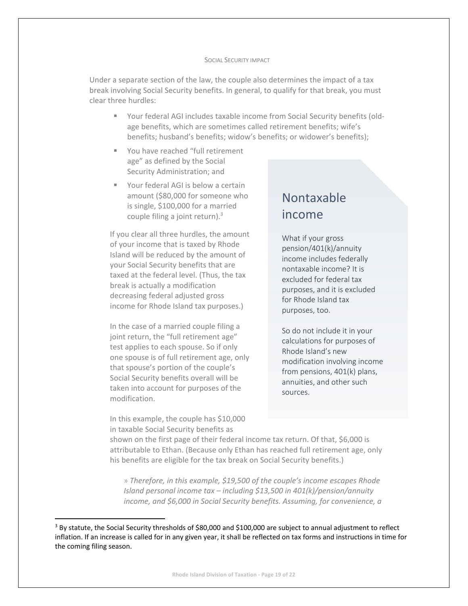#### SOCIAL SECURITY IMPACT

Under a separate section of the law, the couple also determines the impact of a tax break involving Social Security benefits. In general, to qualify for that break, you must clear three hurdles:

- Your federal AGI includes taxable income from Social Security benefits (oldage benefits, which are sometimes called retirement benefits; wife's benefits; husband's benefits; widow's benefits; or widower's benefits);
- **You have reached "full retirement** age" as defined by the Social Security Administration; and
- Your federal AGI is below a certain amount (\$80,000 for someone who is single, \$100,000 for a married couple filing a joint return). $3$

If you clear all three hurdles, the amount of your income that is taxed by Rhode Island will be reduced by the amount of your Social Security benefits that are taxed at the federal level. (Thus, the tax break is actually a modification decreasing federal adjusted gross income for Rhode Island tax purposes.)

In the case of a married couple filing a joint return, the "full retirement age" test applies to each spouse. So if only one spouse is of full retirement age, only that spouse's portion of the couple's Social Security benefits overall will be taken into account for purposes of the modification.

In this example, the couple has \$10,000 in taxable Social Security benefits as

## Nontaxable income

What if your gross pension/401(k)/annuity income includes federally nontaxable income? It is excluded for federal tax purposes, and it is excluded for Rhode Island tax purposes, too.

So do not include it in your calculations for purposes of Rhode Island's new modification involving income from pensions, 401(k) plans, annuities, and other such sources.

shown on the first page of their federal income tax return. Of that, \$6,000 is attributable to Ethan. (Because only Ethan has reached full retirement age, only his benefits are eligible for the tax break on Social Security benefits.)

» *Therefore, in this example, \$19,500 of the couple's income escapes Rhode Island personal income tax – including \$13,500 in 401(k)/pension/annuity income, and \$6,000 in Social Security benefits. Assuming, for convenience, a*

 $3$  By statute, the Social Security thresholds of \$80,000 and \$100,000 are subject to annual adjustment to reflect inflation. If an increase is called for in any given year, it shall be reflected on tax forms and instructions in time for the coming filing season.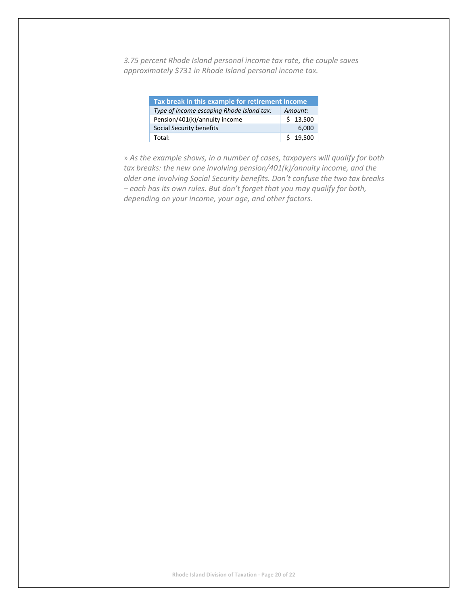*3.75 percent Rhode Island personal income tax rate, the couple saves approximately \$731 in Rhode Island personal income tax.*

| Tax break in this example for retirement income |          |  |  |
|-------------------------------------------------|----------|--|--|
| Type of income escaping Rhode Island tax:       | Amount:  |  |  |
| Pension/401(k)/annuity income                   | \$13,500 |  |  |
| Social Security benefits                        | 6,000    |  |  |
| Total:                                          | \$19,500 |  |  |

» *As the example shows, in a number of cases, taxpayers will qualify for both tax breaks: the new one involving pension/401(k)/annuity income, and the older one involving Social Security benefits. Don't confuse the two tax breaks – each has its own rules. But don't forget that you may qualify for both, depending on your income, your age, and other factors.*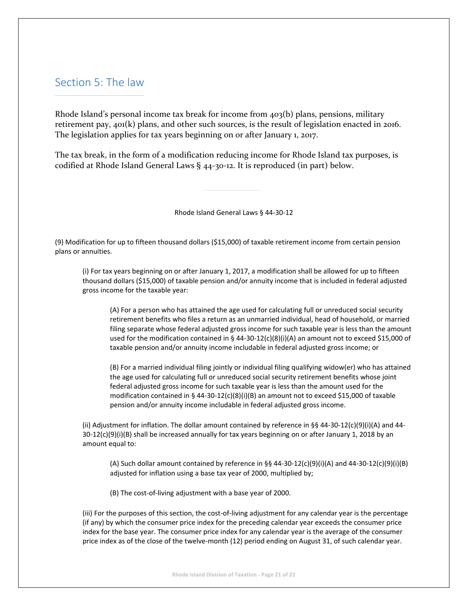## Section 5: The law

Rhode Island's personal income tax break for income from 403(b) plans, pensions, military retirement pay, 401(k) plans, and other such sources, is the result of legislation enacted in 2016. The legislation applies for tax years beginning on or after January 1, 2017.

The tax break, in the form of a modification reducing income for Rhode Island tax purposes, is codified at Rhode Island General Laws § 44‐30‐12. It is reproduced (in part) below.

Rhode Island General Laws § 44‐30‐12

(9) Modification for up to fifteen thousand dollars (\$15,000) of taxable retirement income from certain pension plans or annuities.

(i) For tax years beginning on or after January 1, 2017, a modification shall be allowed for up to fifteen thousand dollars (\$15,000) of taxable pension and/or annuity income that is included in federal adjusted gross income for the taxable year:

(A) For a person who has attained the age used for calculating full or unreduced social security retirement benefits who files a return as an unmarried individual, head of household, or married filing separate whose federal adjusted gross income for such taxable year is less than the amount used for the modification contained in § 44-30-12(c)(8)(i)(A) an amount not to exceed \$15,000 of taxable pension and/or annuity income includable in federal adjusted gross income; or

(B) For a married individual filing jointly or individual filing qualifying widow(er) who has attained the age used for calculating full or unreduced social security retirement benefits whose joint federal adjusted gross income for such taxable year is less than the amount used for the modification contained in § 44-30-12(c)(8)(i)(B) an amount not to exceed \$15,000 of taxable pension and/or annuity income includable in federal adjusted gross income.

(ii) Adjustment for inflation. The dollar amount contained by reference in §§ 44‐30‐12(c)(9)(i)(A) and 44‐  $30-12(c)(9)(i)(B)$  shall be increased annually for tax years beginning on or after January 1, 2018 by an amount equal to:

(A) Such dollar amount contained by reference in §§ 44-30-12(c)(9)(i)(A) and 44-30-12(c)(9)(i)(B) adjusted for inflation using a base tax year of 2000, multiplied by;

(B) The cost‐of‐living adjustment with a base year of 2000.

(iii) For the purposes of this section, the cost‐of‐living adjustment for any calendar year is the percentage (if any) by which the consumer price index for the preceding calendar year exceeds the consumer price index for the base year. The consumer price index for any calendar year is the average of the consumer price index as of the close of the twelve‐month (12) period ending on August 31, of such calendar year.